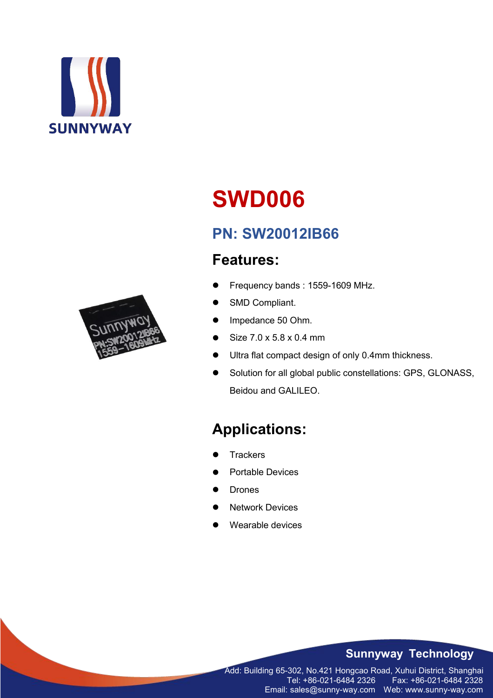



# **PN: SW20012IB66**

## **Features:**

- Frequency bands : 1559-1609 MHz.
- SMD Compliant.
- Impedance 50 Ohm.
- Size 7.0 x 5.8 x 0.4 mm
- Ultra flat compact design of only 0.4mm thickness.
- Solution for all global public constellations: GPS, GLONASS, Beidou and GALILEO.

# **Applications:**

- **Trackers**
- Portable Devices
- Drones
- Network Devices
- Wearable devices

#### **Sunnyway Technology**

Add: Building 65-302, No.421 Hongcao Road, Xuhui District, Shanghai Tel: +86-021-6484 2326 Fax: +86-021-6484 2328 Email: sales@sunny-way.com Web: www.sunny-way.com

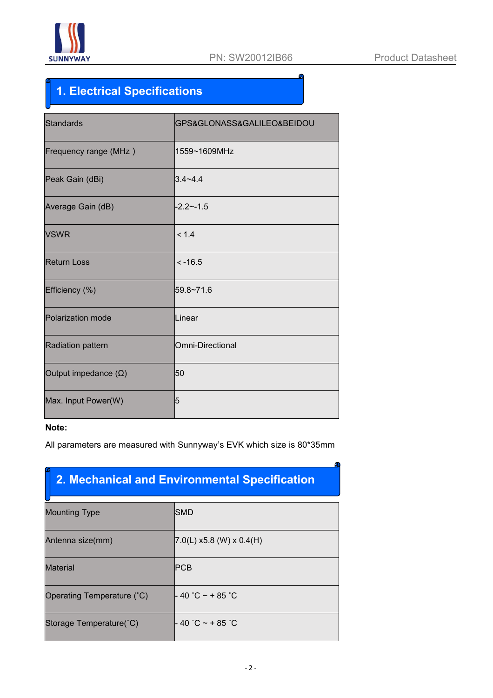

# **1. Electrical Specifications**

| <b>Standards</b>            | GPS&GLONASS&GALILEO&BEIDOU |
|-----------------------------|----------------------------|
| Frequency range (MHz)       | 1559~1609MHz               |
| Peak Gain (dBi)             | $3.4 - 4.4$                |
| Average Gain (dB)           | $-2.2 - -1.5$              |
| <b>VSWR</b>                 | < 1.4                      |
| <b>Return Loss</b>          | $< -16.5$                  |
| Efficiency (%)              | 59.8~71.6                  |
| Polarization mode           | Linear                     |
| Radiation pattern           | Omni-Directional           |
| Output impedance $(\Omega)$ | 50                         |
| Max. Input Power(W)         | 5                          |

#### **Note:**

All parameters are measured with Sunnyway's EVK which size is 80\*35mm

## **2. Mechanical and Environmental Specification**

| <b>Mounting Type</b>       | SMD                                      |
|----------------------------|------------------------------------------|
| Antenna size(mm)           | $ 7.0(L) \times 5.8$ (W) $\times 0.4(H)$ |
| <b>Material</b>            | PCB                                      |
| Operating Temperature (°C) | $-40$ °C ~ + 85 °C                       |
| Storage Temperature(°C)    | $-40$ °C ~ + 85 °C                       |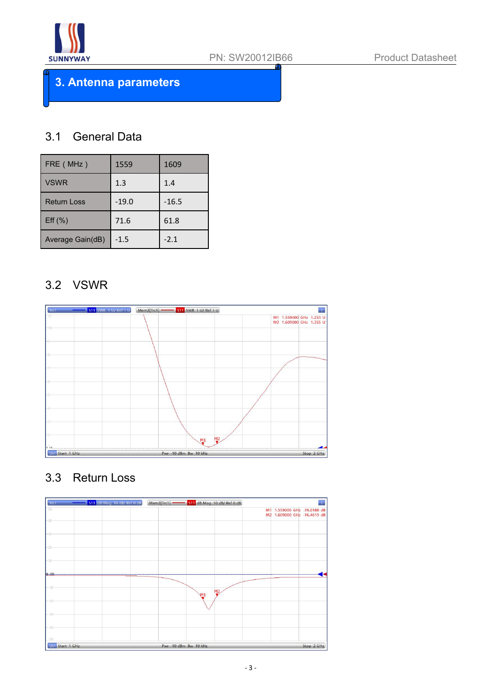

**3. Antenna parameters**

#### 3.1 General Data

| FRE (MHz)          | 1559    | 1609    |
|--------------------|---------|---------|
| <b>VSWR</b>        | 1.3     | 1.4     |
| <b>Return Loss</b> | $-19.0$ | $-16.5$ |
| $Eff$ (%)          | 71.6    | 61.8    |
| Average Gain(dB)   | $-1.5$  | $-2.1$  |

#### 3.2 VSWR

| 511 SWR 1 U/ Ref 1 U<br>Trc1 | Mem2[Trc1] <b>- 511</b> SWR 1 U/ Ref 1 U |                                                    |
|------------------------------|------------------------------------------|----------------------------------------------------|
| 71                           |                                          | M1 1.559000 GHz 1.253 U<br>M2 1.609000 GHz 1.355 U |
| $-10$                        |                                          |                                                    |
|                              |                                          |                                                    |
|                              |                                          |                                                    |
|                              |                                          |                                                    |
|                              |                                          |                                                    |
|                              |                                          |                                                    |
|                              |                                          |                                                    |
|                              |                                          |                                                    |
|                              |                                          |                                                    |
|                              |                                          |                                                    |
|                              |                                          |                                                    |
|                              |                                          |                                                    |
|                              | M2<br>M1                                 |                                                    |
| Chi Start 1 GHz              | Pwr -10 dBm Bw 10 kHz                    | Stop 2 GHz                                         |

## 3.3 Return Loss

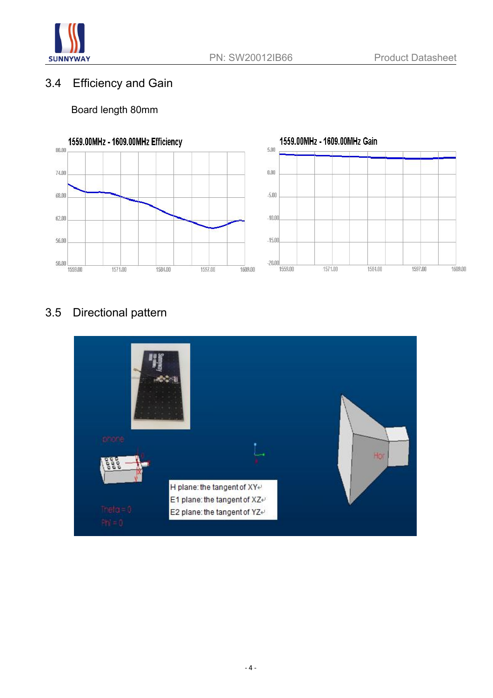

### 3.4 Efficiency and Gain

#### Board length 80mm



## 3.5 Directional pattern

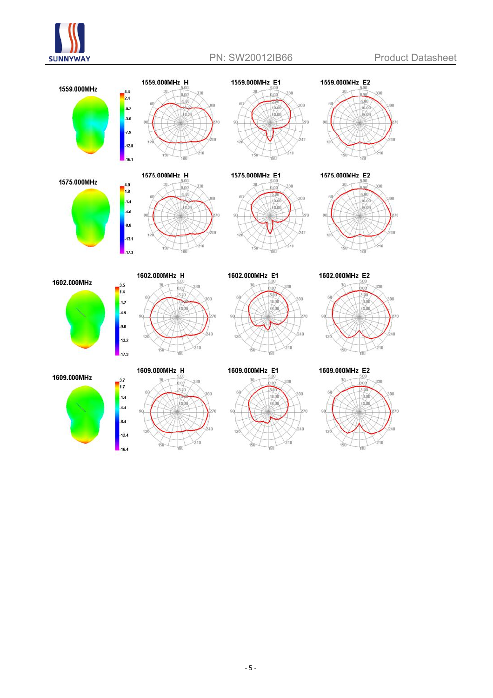





 $-4.6$  $-8.8$ 

 $-13.1$ 

 $17.3$ 

 $\frac{3.5}{1.4}$ 

 $\frac{1}{2}$  $-4.9$  $.9.0$ 

 $-13.2$ 



1559.000MHz H



1575.000MHz E1



1602.000MHz E1

 $0.00$ 

 $210$ 

 $\frac{1}{210}$ 

丽

1602.000MHz E2

1559.000MHz E2

1575.000MHz E2

 $510$ 

 $510$ 

 $120$ 

 $120$ 



1609.000MHz E2



1602.000MHz





1602.000MHz\_H

330  $0.00$ 

bаn

 $5.00$ 

1609.000MHz E1

 $150 -$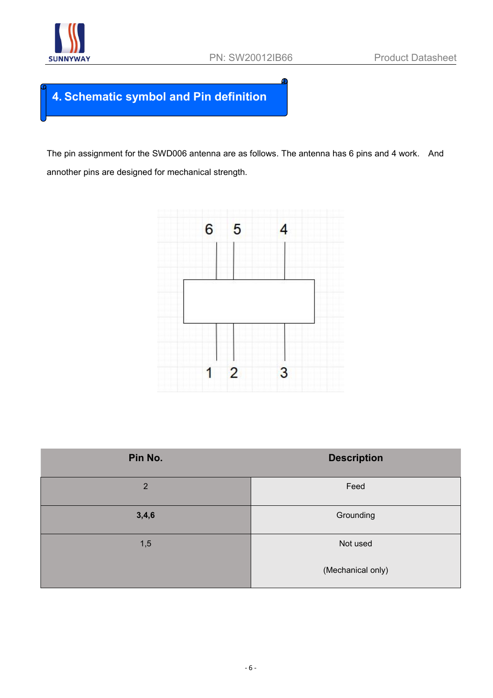

## **4. Schematic symbol and Pin definition**

The pin assignment for the SWD006 antenna are as follows. The antenna has 6 pins and 4 work. And annother pins are designed for mechanical strength.



| Pin No.        | <b>Description</b> |
|----------------|--------------------|
| $\overline{2}$ | Feed               |
| 3,4,6          | Grounding          |
| 1,5            | Not used           |
|                | (Mechanical only)  |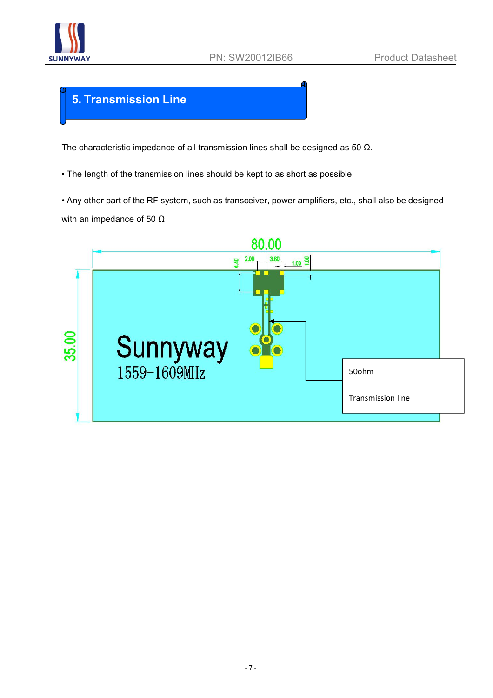

### **5. Transmission Line**

The characteristic impedance of all transmission lines shall be designed as 50 Ω.

• The length of the transmission lines should be kept to as short as possible

• Any other part of the RF system, such as transceiver, power amplifiers, etc., shall also be designed with an impedance of 50  $Ω$ 

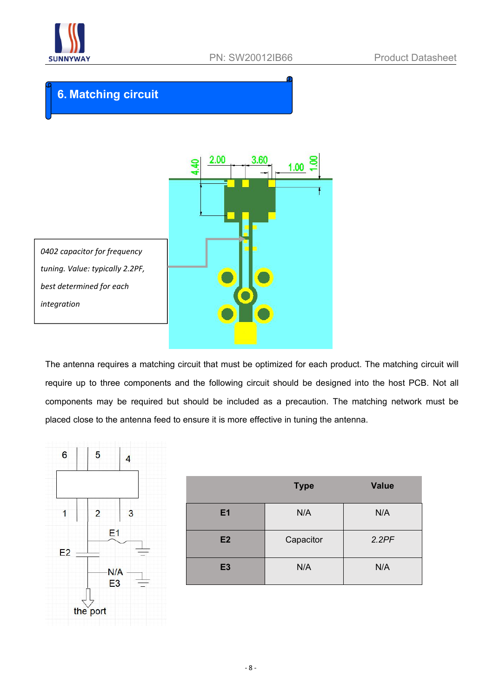

### **6. Matching circuit**



The antenna requires a matching circuit that must be optimized for each product. The matching circuit will require up to three components and the following circuit should be designed into the host PCB. Not all components may be required but should be included as a precaution. The matching network must be placed close to the antenna feed to ensure it is more effective in tuning the antenna.



|                | <b>Type</b> | <b>Value</b> |
|----------------|-------------|--------------|
| E <sub>1</sub> | N/A         | N/A          |
| E2             | Capacitor   | 2.2PF        |
| <b>E3</b>      | N/A         | N/A          |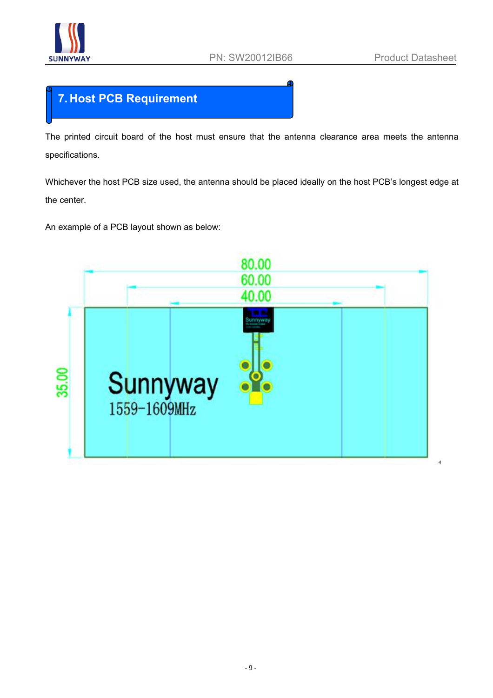

### **7. Host PCB Requirement**

The printed circuit board of the host must ensure that the antenna clearance area meets the antenna specifications.

Whichever the host PCB size used, the antenna should be placed ideally on the host PCB's longest edge at the center.

An example of a PCB layout shown as below:

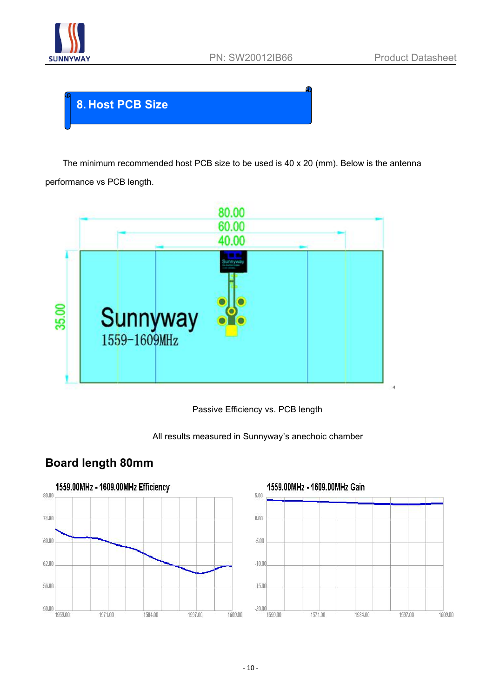

## **8. Host PCB Size**

The minimum recommended host PCB size to be used is40 x 20 (mm). Below is the antenna performance vs PCB length.







#### **Board length 80mm**

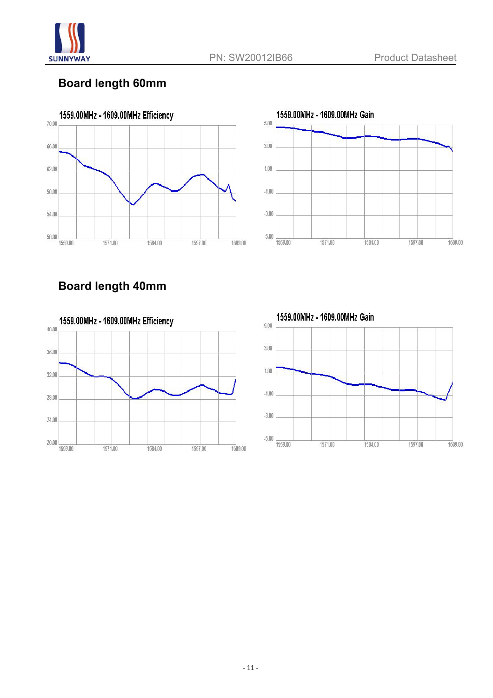

#### **Board length 60mm**





### **Board length 40mm**



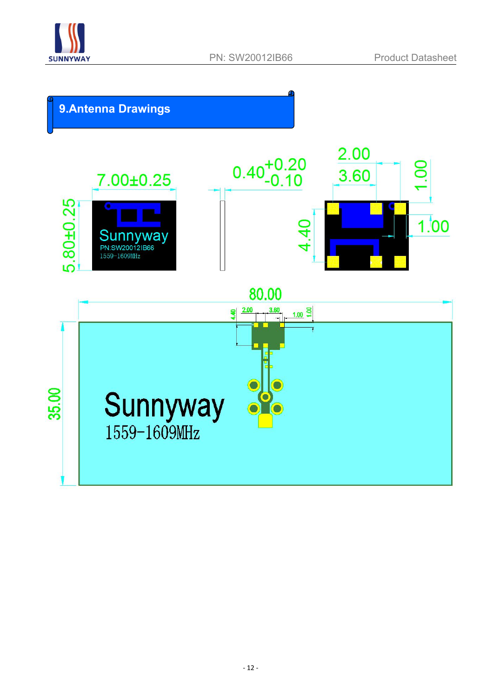

## **9.Antenna Drawings**